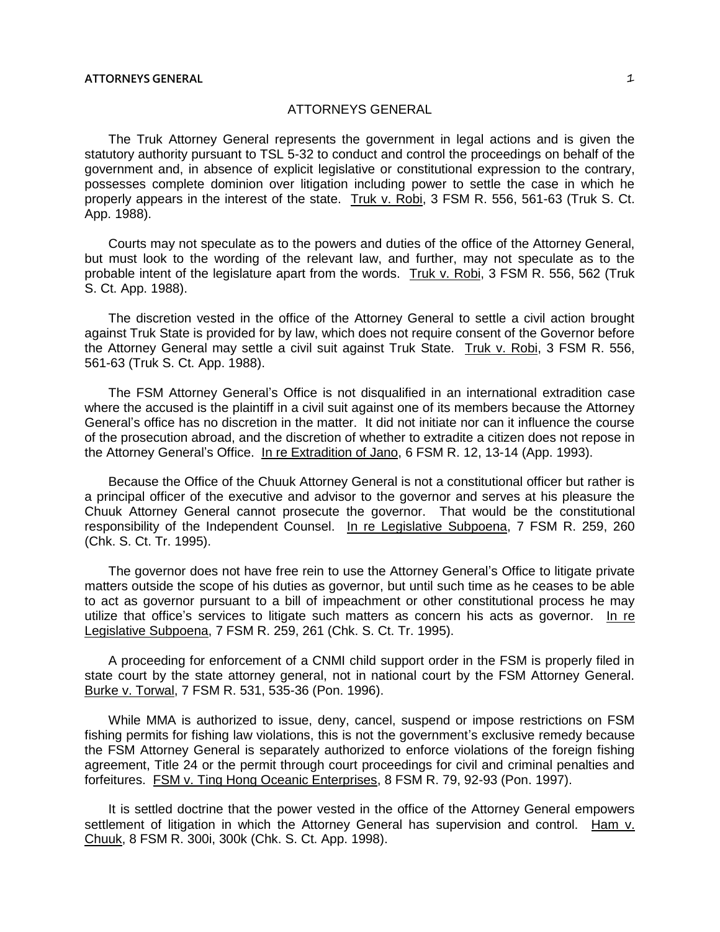## ATTORNEYS GENERAL

The Truk Attorney General represents the government in legal actions and is given the statutory authority pursuant to TSL 5-32 to conduct and control the proceedings on behalf of the government and, in absence of explicit legislative or constitutional expression to the contrary, possesses complete dominion over litigation including power to settle the case in which he properly appears in the interest of the state. Truk v. Robi, 3 FSM R. 556, 561-63 (Truk S. Ct. App. 1988).

Courts may not speculate as to the powers and duties of the office of the Attorney General, but must look to the wording of the relevant law, and further, may not speculate as to the probable intent of the legislature apart from the words. Truk v. Robi, 3 FSM R. 556, 562 (Truk S. Ct. App. 1988).

The discretion vested in the office of the Attorney General to settle a civil action brought against Truk State is provided for by law, which does not require consent of the Governor before the Attorney General may settle a civil suit against Truk State. Truk v. Robi, 3 FSM R. 556, 561-63 (Truk S. Ct. App. 1988).

The FSM Attorney General's Office is not disqualified in an international extradition case where the accused is the plaintiff in a civil suit against one of its members because the Attorney General's office has no discretion in the matter. It did not initiate nor can it influence the course of the prosecution abroad, and the discretion of whether to extradite a citizen does not repose in the Attorney General's Office. In re Extradition of Jano, 6 FSM R. 12, 13-14 (App. 1993).

Because the Office of the Chuuk Attorney General is not a constitutional officer but rather is a principal officer of the executive and advisor to the governor and serves at his pleasure the Chuuk Attorney General cannot prosecute the governor. That would be the constitutional responsibility of the Independent Counsel. In re Legislative Subpoena, 7 FSM R. 259, 260 (Chk. S. Ct. Tr. 1995).

The governor does not have free rein to use the Attorney General's Office to litigate private matters outside the scope of his duties as governor, but until such time as he ceases to be able to act as governor pursuant to a bill of impeachment or other constitutional process he may utilize that office's services to litigate such matters as concern his acts as governor. In re Legislative Subpoena, 7 FSM R. 259, 261 (Chk. S. Ct. Tr. 1995).

A proceeding for enforcement of a CNMI child support order in the FSM is properly filed in state court by the state attorney general, not in national court by the FSM Attorney General. Burke v. Torwal, 7 FSM R. 531, 535-36 (Pon. 1996).

While MMA is authorized to issue, deny, cancel, suspend or impose restrictions on FSM fishing permits for fishing law violations, this is not the government's exclusive remedy because the FSM Attorney General is separately authorized to enforce violations of the foreign fishing agreement, Title 24 or the permit through court proceedings for civil and criminal penalties and forfeitures. FSM v. Ting Hong Oceanic Enterprises, 8 FSM R. 79, 92-93 (Pon. 1997).

It is settled doctrine that the power vested in the office of the Attorney General empowers settlement of litigation in which the Attorney General has supervision and control. Ham v. Chuuk, 8 FSM R. 300i, 300k (Chk. S. Ct. App. 1998).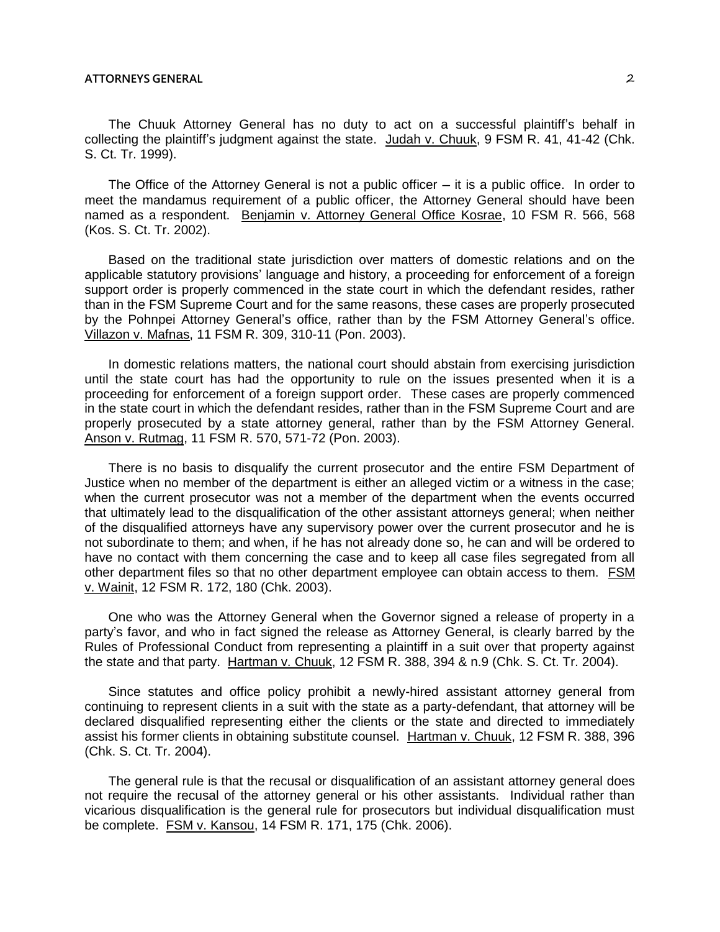## **ATTORNEYS GENERAL** 2

The Chuuk Attorney General has no duty to act on a successful plaintiff's behalf in collecting the plaintiff's judgment against the state. Judah v. Chuuk, 9 FSM R. 41, 41-42 (Chk. S. Ct. Tr. 1999).

The Office of the Attorney General is not a public officer  $-$  it is a public office. In order to meet the mandamus requirement of a public officer, the Attorney General should have been named as a respondent. Benjamin v. Attorney General Office Kosrae, 10 FSM R. 566, 568 (Kos. S. Ct. Tr. 2002).

Based on the traditional state jurisdiction over matters of domestic relations and on the applicable statutory provisions' language and history, a proceeding for enforcement of a foreign support order is properly commenced in the state court in which the defendant resides, rather than in the FSM Supreme Court and for the same reasons, these cases are properly prosecuted by the Pohnpei Attorney General's office, rather than by the FSM Attorney General's office. Villazon v. Mafnas, 11 FSM R. 309, 310-11 (Pon. 2003).

In domestic relations matters, the national court should abstain from exercising jurisdiction until the state court has had the opportunity to rule on the issues presented when it is a proceeding for enforcement of a foreign support order. These cases are properly commenced in the state court in which the defendant resides, rather than in the FSM Supreme Court and are properly prosecuted by a state attorney general, rather than by the FSM Attorney General. Anson v. Rutmag, 11 FSM R. 570, 571-72 (Pon. 2003).

There is no basis to disqualify the current prosecutor and the entire FSM Department of Justice when no member of the department is either an alleged victim or a witness in the case; when the current prosecutor was not a member of the department when the events occurred that ultimately lead to the disqualification of the other assistant attorneys general; when neither of the disqualified attorneys have any supervisory power over the current prosecutor and he is not subordinate to them; and when, if he has not already done so, he can and will be ordered to have no contact with them concerning the case and to keep all case files segregated from all other department files so that no other department employee can obtain access to them. FSM v. Wainit, 12 FSM R. 172, 180 (Chk. 2003).

One who was the Attorney General when the Governor signed a release of property in a party's favor, and who in fact signed the release as Attorney General, is clearly barred by the Rules of Professional Conduct from representing a plaintiff in a suit over that property against the state and that party. Hartman v. Chuuk, 12 FSM R. 388, 394 & n.9 (Chk. S. Ct. Tr. 2004).

Since statutes and office policy prohibit a newly-hired assistant attorney general from continuing to represent clients in a suit with the state as a party-defendant, that attorney will be declared disqualified representing either the clients or the state and directed to immediately assist his former clients in obtaining substitute counsel. Hartman v. Chuuk, 12 FSM R. 388, 396 (Chk. S. Ct. Tr. 2004).

The general rule is that the recusal or disqualification of an assistant attorney general does not require the recusal of the attorney general or his other assistants. Individual rather than vicarious disqualification is the general rule for prosecutors but individual disqualification must be complete. FSM v. Kansou, 14 FSM R. 171, 175 (Chk. 2006).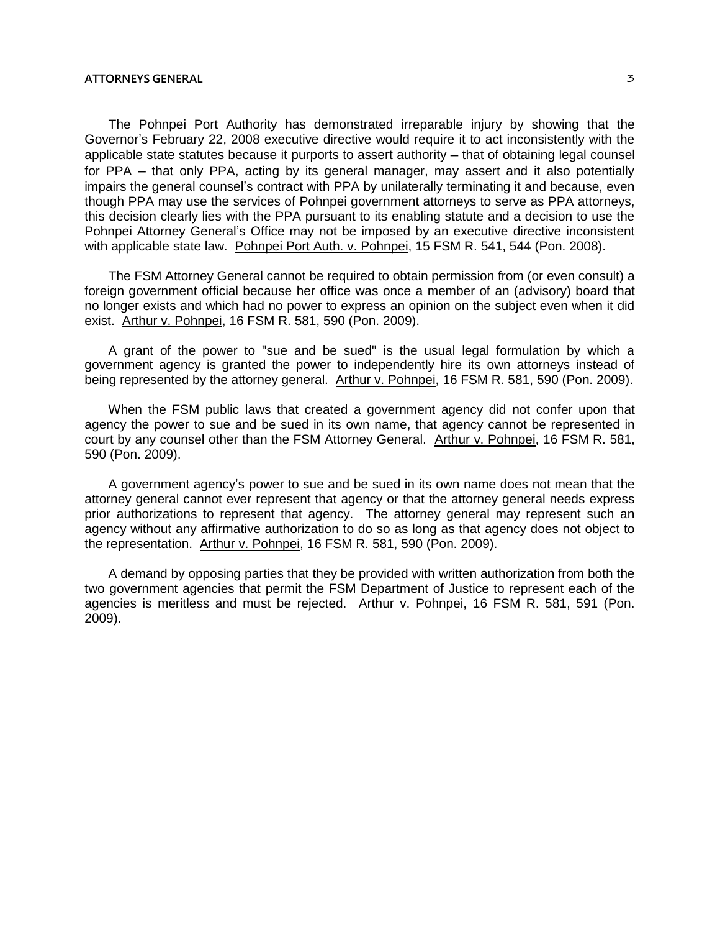## **ATTORNEYS GENERAL** 3

The Pohnpei Port Authority has demonstrated irreparable injury by showing that the Governor's February 22, 2008 executive directive would require it to act inconsistently with the applicable state statutes because it purports to assert authority — that of obtaining legal counsel for PPA – that only PPA, acting by its general manager, may assert and it also potentially impairs the general counsel's contract with PPA by unilaterally terminating it and because, even though PPA may use the services of Pohnpei government attorneys to serve as PPA attorneys, this decision clearly lies with the PPA pursuant to its enabling statute and a decision to use the Pohnpei Attorney General's Office may not be imposed by an executive directive inconsistent with applicable state law. Pohnpei Port Auth. v. Pohnpei, 15 FSM R. 541, 544 (Pon. 2008).

The FSM Attorney General cannot be required to obtain permission from (or even consult) a foreign government official because her office was once a member of an (advisory) board that no longer exists and which had no power to express an opinion on the subject even when it did exist. Arthur v. Pohnpei, 16 FSM R. 581, 590 (Pon. 2009).

A grant of the power to "sue and be sued" is the usual legal formulation by which a government agency is granted the power to independently hire its own attorneys instead of being represented by the attorney general. Arthur v. Pohnpei, 16 FSM R. 581, 590 (Pon. 2009).

When the FSM public laws that created a government agency did not confer upon that agency the power to sue and be sued in its own name, that agency cannot be represented in court by any counsel other than the FSM Attorney General. Arthur v. Pohnpei, 16 FSM R. 581, 590 (Pon. 2009).

A government agency's power to sue and be sued in its own name does not mean that the attorney general cannot ever represent that agency or that the attorney general needs express prior authorizations to represent that agency. The attorney general may represent such an agency without any affirmative authorization to do so as long as that agency does not object to the representation. Arthur v. Pohnpei, 16 FSM R. 581, 590 (Pon. 2009).

A demand by opposing parties that they be provided with written authorization from both the two government agencies that permit the FSM Department of Justice to represent each of the agencies is meritless and must be rejected. Arthur v. Pohnpei, 16 FSM R. 581, 591 (Pon. 2009).